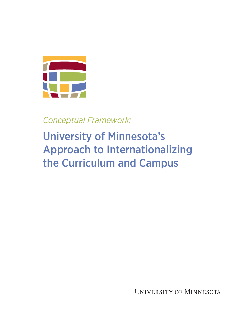

*Conceptual Framework:*

## University of Minnesota's Approach to Internationalizing the Curriculum and Campus

UNIVERSITY OF MINNESOTA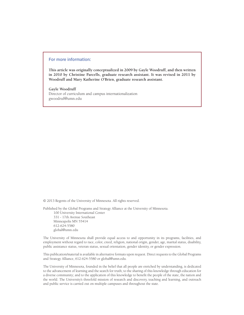## For more information:

**This article was originally conceptualized in 2009 by Gayle Woodruff, and then written in 2010 by Christine Parcells, graduate research assistant. It was revised in 2011 by Woodruff and Mary Katherine O'Brien, graduate research assistant.**

**Gayle Woodruff** Director of curriculum and campus internationalization gwoodruf@umn.edu

© 2013 Regents of the University of Minnesota. All rights reserved.

Published by the Global Programs and Strategy Alliance at the University of Minnesota. 100 University International Center 331 - 17th Avenue Southeast Minneapolis MN 55414 612-624-5580 global@umn.edu

The University of Minnesota shall provide equal access to and opportunity in its programs, facilities, and employment without regard to race, color, creed, religion, national origin, gender, age, marital status, disability, public assistance status, veteran status, sexual orientation, gender identity, or gender expression.

This publication/material is available in alternative formats upon request. Direct requests to the Global Programs and Strategy Alliance, 612-624-5580 or global@umn.edu.

The University of Minnesota, founded in the belief that all people are enriched by understanding, is dedicated to the advancement of learning and the search for truth; to the sharing of this knowledge through education for a diverse community; and to the application of this knowledge to benefit the people of the state, the nation and the world. The University's threefold mission of research and discovery, teaching and learning, and outreach and public service is carried out on multiple campuses and throughout the state.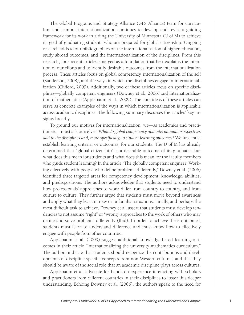The Global Programs and Strategy Alliance (GPS Alliance) team for curriculum and campus internationalization continues to develop and revise a guiding framework for its work in aiding the University of Minnesota (U of M) to achieve its goal of graduating students who are prepared for global citizenship. Ongoing research adds to our bibliographies on the internationalization of higher education, study abroad outcomes, and the internationalization of the disciplines. From this research, four recent articles emerged as a foundation that best explains the intention of our efforts and to identify desirable outcomes from the internationalization process. These articles focus on global competency, internationalization of the self (Sanderson, 2008), and the ways in which the disciplines engage in internationalization (Clifford, 2009). Additionally, two of these articles focus on specific disciplines—globally competent engineers (Downey et al., 2006) and internationalization of mathematics (Applebaum et al., 2009). The core ideas of these articles can serve as concrete examples of the ways in which internationalization is applicable across academic disciplines. The following summary discusses the articles' key insights broadly.

To ground our motives for internationalization, we—as academics and practitioners—must ask ourselves, *What do global competency and international perspectives add to the disciplines and, more specifically, to student learning outcomes?* We first must establish learning criteria, or outcomes, for our students. The U of M has already determined that "global citizenship" is a desirable outcome of its graduates, but what does this mean for students and what does this mean for the faculty members who guide student learning? In the article "The globally competent engineer: Working effectively with people who define problems differently," Downey et al. (2006) identified three targeted areas for competency development: knowledge, abilities, and predispositions. The authors acknowledge that students need to understand how professionals' approaches to work differ from country to country, and from culture to culture. They further argue that students must move beyond awareness and apply what they learn in new or unfamiliar situations. Finally, and perhaps the most difficult task to achieve, Downey et al. assert that students must develop tendencies to not assume "right" or "wrong" approaches to the work of others who may define and solve problems differently (Ibid). In order to achieve these outcomes, students must learn to understand difference and must know how to effectively engage with people from other countries.

Applebaum et al. (2009) suggest additional knowledge-based learning outcomes in their article "Internationalizing the university mathematics curriculum." The authors indicate that students should recognize the contributions and developments of discipline-specific concepts from non-Western cultures, and that they should be aware of the social role that an academic discipline plays across cultures.

Applebaum et al. advocate for hands-on experience interacting with scholars and practitioners from different countries in their disciplines to foster this deeper understanding. Echoing Downey et al. (2006), the authors speak to the need for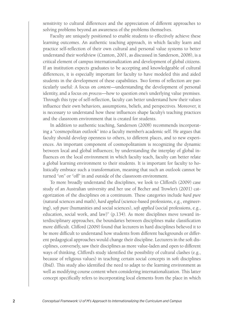sensitivity to cultural differences and the appreciation of different approaches to solving problems beyond an awareness of the problems themselves.

Faculty are uniquely positioned to enable students to effectively achieve these learning outcomes. An authentic teaching approach, in which faculty learn and practice self-reflection of their own cultural and personal value systems to better understand their worldview (Cranton, 2001, as discussed in Sanderson, 2008), is a critical element of campus internationalization and development of global citizens. If an institution expects graduates to be accepting and knowledgeable of cultural differences, it is especially important for faculty to have modeled this and aided students in the development of these capabilities. Two forms of reflection are particularly useful: A focus on *content*—understanding the development of personal identity, and a focus on *process*—how to question one's underlying value premises. Through this type of self-reflection, faculty can better understand how their values influence their own behaviors, assumptions, beliefs, and perspectives. Moreover, it is necessary to understand how these influences shape faculty's teaching practices and the classroom environment that is created for students.

In addition to authentic teaching, Sanderson (2008) recommends incorporating a "cosmopolitan outlook" into a faculty member's academic self. He argues that faculty should develop openness to others, to different places, and to new experiences. An important component of cosmopolitanism is recognizing the dynamic between local and global influences; by understanding the interplay of global influences on the local environment in which faculty teach, faculty can better relate a global learning environment to their students. It is important for faculty to holistically embrace such a transformation, meaning that such an outlook cannot be turned "on" or "off" in and outside of the classroom environment.

To more broadly understand the disciplines, we look to Clifford's (2009) case study of an Australian university and her use of Becher and Trowler's (2001) categorization of the disciplines on a continuum. These categories include *hard pure*  (natural sciences and math), *hard applied* (science-based professions, e.g., engineering), *soft pure* (humanities and social sciences), *soft applied* (social professions, e.g., education, social work, and law)" (p.134). As more disciplines move toward interdisciplinary approaches, the boundaries between disciplines make classification more difficult. Clifford (2009) found that lecturers in hard disciplines believed it to be more difficult to understand how students from different backgrounds or different pedagogical approaches would change their discipline. Lecturers in the soft disciplines, conversely, saw their disciplines as more value-laden and open to different ways of thinking. Clifford's study identified the possibility of cultural clashes (e.g., because of religious values) in teaching certain social concepts in soft disciplines (Ibid). This study also identified the need to adapt to the learning environment as well as modifying course content when considering internationalization. This latter concept specifically refers to incorporating local elements from the place in which